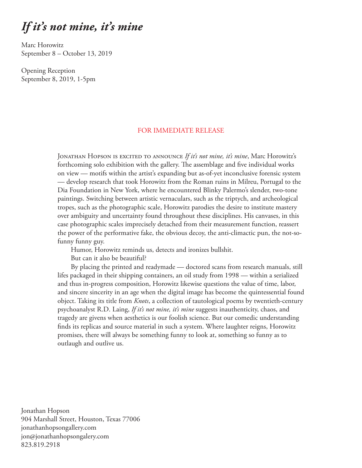## *If it's not mine, it's mine*

Marc Horowitz September 8 – October 13, 2019

Opening Reception September 8, 2019, 1-5pm

## FOR IMMEDIATE RELEASE

JONATHAN HOPSON IS EXCITED TO ANNOUNCE If it's not mine, it's mine, Marc Horowitz's forthcoming solo exhibition with the gallery. The assemblage and five individual works on view — motifs within the artist's expanding but as-of-yet inconclusive forensic system — develop research that took Horowitz from the Roman ruins in Milreu, Portugal to the Dia Foundation in New York, where he encountered Blinky Palermo's slender, two-tone paintings. Switching between artistic vernaculars, such as the triptych, and archeological tropes, such as the photographic scale, Horowitz parodies the desire to institute mastery over ambiguity and uncertainty found throughout these disciplines. His canvases, in this case photographic scales imprecisely detached from their measurement function, reassert the power of the performative fake, the obvious decoy, the anti-climactic pun, the not-sofunny funny guy.

Humor, Horowitz reminds us, detects and ironizes bullshit.

But can it also be beautiful?

By placing the printed and readymade — doctored scans from research manuals, still lifes packaged in their shipping containers, an oil study from 1998 — within a serialized and thus in-progress composition, Horowitz likewise questions the value of time, labor, and sincere sincerity in an age when the digital image has become the quintessential found object. Taking its title from *Knots*, a collection of tautological poems by twentieth-century psychoanalyst R.D. Laing, *If it's not mine, it's mine* suggests inauthenticity, chaos, and tragedy are givens when aesthetics is our foolish science. But our comedic understanding finds its replicas and source material in such a system. Where laughter reigns, Horowitz promises, there will always be something funny to look at, something so funny as to outlaugh and outlive us.

Jonathan Hopson 904 Marshall Street, Houston, Texas 77006 jonathanhopsongallery.com jon@jonathanhopsongalery.com 823.819.2918